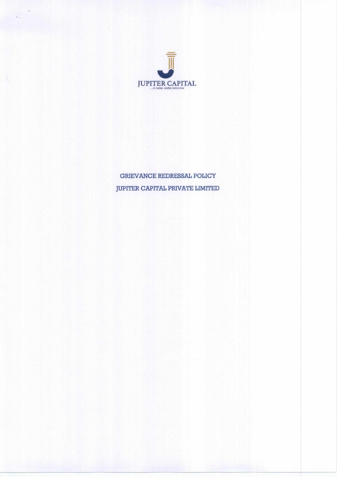

# GRIEVANCE REDRESSAL POLICY JUPITER CAPITAL PRIVATE LIMITED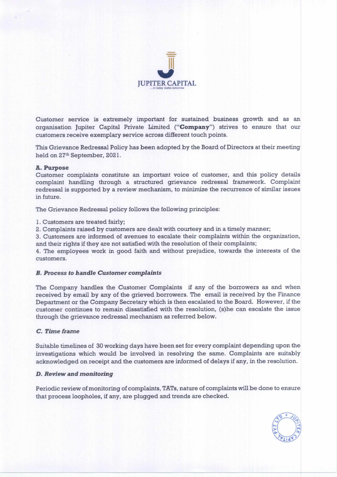

Customer service is extremely important for sustained business growth and as an organisation Jupiter Capital Private Limited **("Company")** strives to ensure that our customers receive exemplary service across different touch points.

This Grievance Redressal Policy has been adopted by the Board of Directors at their meeting held on 27th September, 2021.

# **A. Purpose**

Customer complaints constitute an important voice of customer, and this policy details complaint handling through a structured grievance redressal framework. Complaint redressal is supported by a review mechanism, to minimize the recurrence of similar issues in future.

The Grievance Redressal policy follows the following principles:

1. Customers are treated fairly;

2. Complaints raised by customers are dealt with courtesy and in a timely manner;

3. Customers are informed of avenues to escalate their complaints within the organization, and their rights if they are not satisfied with the resolution of their complaints;

4. The employees work in good faith and without prejudice, towards the interests of the customers.

# *B. Process to handle Customer complaints*

The Company handles the Customer Complaints if any of the borrowers as and when received by email by any of the grieved borrowers. The email is received by the Finance Department or the Company Secretary which is then escalated to the Board. However, if the customer continues to remain dissatisfied with the resolution, (s)he can escalate the issue through the grievance redressal mechanism as referred below.

# *C. Time frame*

Suitable timelines of 30 working days have been set for every complaint depending upon the investigations which would be involved in resolving the same. Complaints are suitably acknowledged on receipt and the customers are informed of delays if any, in the resolution.

# *D. Review and monitoring*

Periodic review of monitoring of complaints, TATs, nature of complaints will be done to ensure that process loopholes, if any, are plugged and trends are checked.